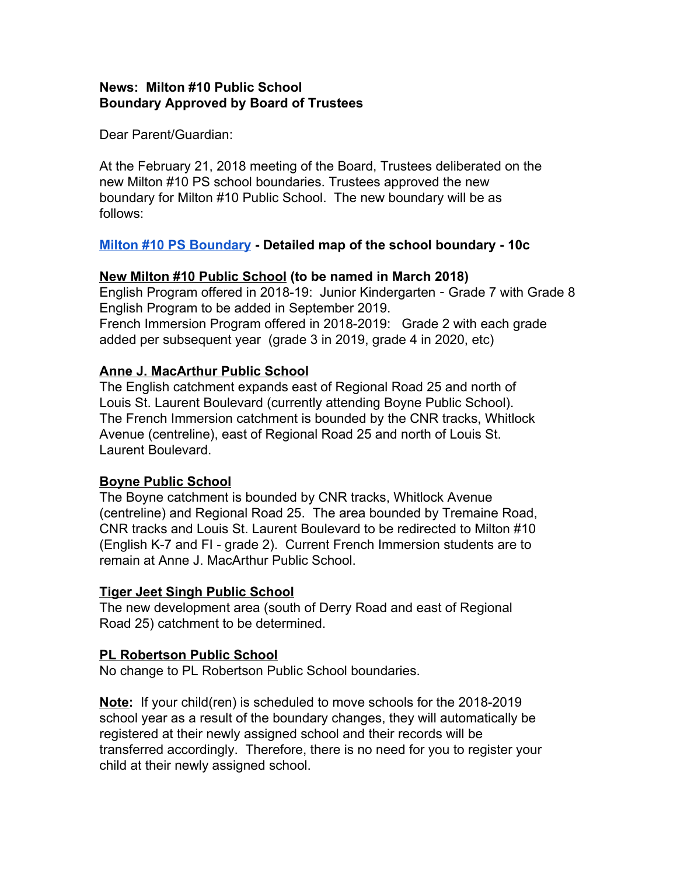## **News: Milton #10 Public School Boundary Approved by Board of Trustees**

Dear Parent/Guardian:

At the February 21, 2018 meeting of the Board, Trustees deliberated on the new Milton #10 PS school boundaries. Trustees approved the new boundary for Milton #10 Public School. The new boundary will be as follows:

### **[Milton #10 PS Boundary](https://www.hdsb.ca/schools/Pages/School%20Boundary%20Reviews/2017-Milton-MiltonSW10ps.aspx) - Detailed map of the school boundary - 10c**

## **New Milton #10 Public School (to be named in March 2018)**

English Program offered in 2018-19: Junior Kindergarten - Grade 7 with Grade 8 English Program to be added in September 2019. French Immersion Program offered in 2018-2019: Grade 2 with each grade added per subsequent year (grade 3 in 2019, grade 4 in 2020, etc)

# **Anne J. MacArthur Public School**

The English catchment expands east of Regional Road 25 and north of Louis St. Laurent Boulevard (currently attending Boyne Public School). The French Immersion catchment is bounded by the CNR tracks, Whitlock Avenue (centreline), east of Regional Road 25 and north of Louis St. Laurent Boulevard.

### **Boyne Public School**

The Boyne catchment is bounded by CNR tracks, Whitlock Avenue (centreline) and Regional Road 25. The area bounded by Tremaine Road, CNR tracks and Louis St. Laurent Boulevard to be redirected to Milton #10 (English K-7 and FI - grade 2). Current French Immersion students are to remain at Anne J. MacArthur Public School.

### **Tiger Jeet Singh Public School**

The new development area (south of Derry Road and east of Regional Road 25) catchment to be determined.

### **PL Robertson Public School**

No change to PL Robertson Public School boundaries.

**Note:** If your child(ren) is scheduled to move schools for the 2018-2019 school year as a result of the boundary changes, they will automatically be registered at their newly assigned school and their records will be transferred accordingly. Therefore, there is no need for you to register your child at their newly assigned school.